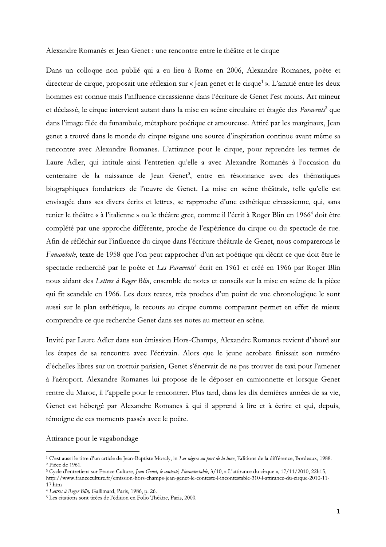Alexandre Romanès et Jean Genet : une rencontre entre le théâtre et le cirque

Dans un colloque non publié qui a eu lieu à Rome en 2006, Alexandre Romanes, poète et directeur de cirque, proposait une réflexion sur « Jean genet et le cirque<sup>1</sup> ». L'amitié entre les deux hommes est connue mais l'influence circassienne dans l'écriture de Genet l'est moins. Art mineur et déclassé, le cirque intervient autant dans la mise en scène circulaire et étagée des Paravents<sup>2</sup> que dans l'image filée du funambule, métaphore poétique et amoureuse. Attiré par les marginaux, Jean genet a trouvé dans le monde du cirque tsigane une source d'inspiration continue avant même sa rencontre avec Alexandre Romanes. L'attirance pour le cirque, pour reprendre les termes de Laure Adler, qui intitule ainsi l'entretien qu'elle a avec Alexandre Romanès à l'occasion du centenaire de la naissance de Jean Genet<sup>3</sup>, entre en résonnance avec des thématiques biographiques fondatrices de l'œuvre de Genet. La mise en scène théâtrale, telle qu'elle est envisagée dans ses divers écrits et lettres, se rapproche d'une esthétique circassienne, qui, sans renier le théâtre « à l'italienne » ou le théâtre grec, comme il l'écrit à Roger Blin en 1966<sup>4</sup> doit être complété par une approche différente, proche de l'expérience du cirque ou du spectacle de rue. Afin de réfléchir sur l'influence du cirque dans l'écriture théâtrale de Genet, nous comparerons le Funambule, texte de 1958 que l'on peut rapprocher d'un art poétique qui décrit ce que doit être le spectacle recherché par le poète et Les Paravents<sup>5</sup> écrit en 1961 et créé en 1966 par Roger Blin nous aidant des Lettres à Roger Blin, ensemble de notes et conseils sur la mise en scène de la pièce qui fit scandale en 1966. Les deux textes, très proches d'un point de vue chronologique le sont aussi sur le plan esthétique, le recours au cirque comme comparant permet en effet de mieux comprendre ce que recherche Genet dans ses notes au metteur en scène.

Invité par Laure Adler dans son émission Hors-Champs, Alexandre Romanes revient d'abord sur les étapes de sa rencontre avec l'écrivain. Alors que le jeune acrobate finissait son numéro d'échelles libres sur un trottoir parisien, Genet s'énervait de ne pas trouver de taxi pour l'amener à l'aéroport. Alexandre Romanes lui propose de le déposer en camionnette et lorsque Genet rentre du Maroc, il l'appelle pour le rencontrer. Plus tard, dans les dix dernières années de sa vie, Genet est hébergé par Alexandre Romanes à qui il apprend à lire et à écrire et qui, depuis, témoigne de ces moments passés avec le poète.

## Attirance pour le vagabondage

<sup>&</sup>lt;sup>1</sup> C'est aussi le titre d'un article de Jean-Baptiste Moraly, in Les nègres au port de la lune, Editions de la différence, Bordeaux, 1988. <sup>2</sup> Pièce de 1961.

<sup>&</sup>lt;sup>3</sup> Cycle d'entretiens sur France Culture, Jean Genet, le contesté, l'incontestable, 3/10, « L'attirance du cirque », 17/11/2010, 22h15,

http://www.franceculture.fr/emission-hors-champs-jean-genet-le-conteste-l-incontestable-310-l-attirance-du-cirque-2010-11-17.htm

<sup>&</sup>lt;sup>4</sup> Lettres à Roger Blin, Gallimard, Paris, 1986, p. 26.

<sup>&</sup>lt;sup>5</sup> Les citations sont tirées de l'édition en Folio Théâtre, Paris, 2000.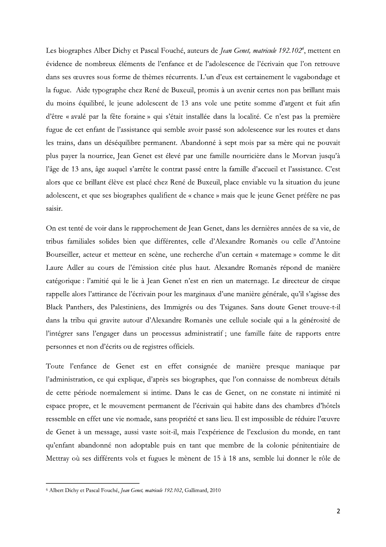Les biographes Alber Dichy et Pascal Fouché, auteurs Les biographes Alber Dichy et Pascal Fouché, auteurs de *Jean Genet, matricule 192.102<sup>6</sup>*, mettent en évidence de nombreux éléments de l'enfance et de l'adolescence de l'écrivain que l'on retrouve dans ses œuvres sous for aphe chez René de Buxeuil, promis à un avenir certes non pas brillant mais du moins équilibré, le jeune adolescent de 13 ans vole une petite somme d'argent et fuit afin d'être « avale par la fête foraine » qui s'était installée dans la localité. Ce n'est pas la première fugue de cet enfant de l'assistance qui semble avoir passé son adolescence sur les routes et dans les trains, dans un déséquilibre permanent. Abandonné à sept mois par sa mère qui ne pouvait plus payer la nourrice, Jean Genet est élevé par une famille nourricière dans le Morvan jusqu'à l'âge de 13 ans, âge auquel s'arrête le contrat passé entre la famille d'accueil et l'assistance. C'est alors que ce brillant élève est placé chez René de Buxeuil, place enviable vu la situation du jeune adolescent, et que ses biographes qualifient de « chance » mais que le jeune Genet prèfère ne pas saisir.

On est tenté de voir dans le rapprochement de Jean Genet, dans les dernières années de sa vie, de tribus familiales solides bien que différentes, celle d'Alexandre Romanès ou celle d'Antoine Bourseiller, acteur et metteur en scène, une recherche d'un certain « maternage » comme le dit Laure Adler au cours de l'émission citée plus haut. Alexandre Romanés répond de manière catégorique : l'amitié qui le lie à Jean Genet n'est en rien un maternage. Le directeur de cirque rappelle alors l'attirance de l'écrivain pour les marginaux d'une manière générale, qu'il s'agisse des Black Panthers, des Palestiniens, des Immigrés ou des Tsiganes. Sans doute Genet trouve-t-il dans la tribu qui gravite autour d'Alexandre Romanès une cellule sociale qui a la générosité de l'integrer sans l'engager dans un processus administratif ; une famille faite de rapports entre personnes et non d'écrits ou de registres officiels.

Toute l'enfance de Genet est en effet consignée de manière presque maniaque par l'administration, ce qui explique, d'après ses biographes, que l'on connaisse de nombreux détails de cette période normalement si intime. Dans le cas de Genet, on ne constate ni intimité ni espace propre, et le mouvement permanent de l'écrivain qui habite dans des chambres d'hôtels ressemble en effet une vie nomade, sans propriété et sans lieu. Il est impossible de réduire l'œuvre de Genet à un message, aussi vaste soit-il, mais l'expérience de l'exclusion du monde, en tant qu'enfant abandonné non adoptable puis en tant que membre de la colonie pénitentiaire de Mettray où ses différents vols et fugues le ménent de 15 à 18 ans, semble lui donner le rôle de Erice a an increasge, aussi vasce correla, mais renper<br>fant abandonné non adoptable puis en tant que<br>ray où ses différents vols et fugues le mènent de 1.<br>t Dichy et Pascal Fouché, *Jean Genet, matricule* 192.102, Gallimard

<sup>&</sup>lt;sup>6</sup> Albert Dichy et Pascal Fouché, *Jean Genet, matricule 192.102*, Gallimard, 2010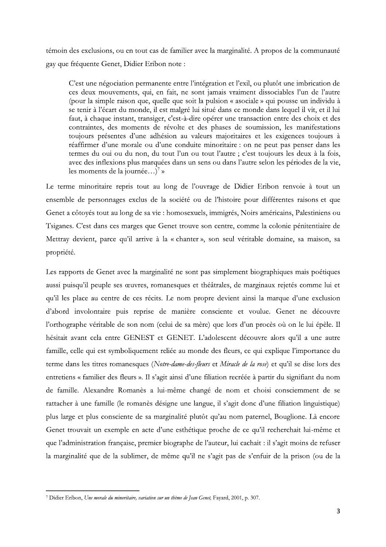témoin des exclusions, ou en tout cas de familier avec la marginalité. A propos de la communauté gay que fréquente Genet, Didier Eribon note :

C'est une négociation permanente entre l'intégration et l'exil, ou plutôt une imbrication de ces deux mouvements, qui, en fait, ne sont jamais vraiment dissociables l'un de l'autre (pour la simple raison que, quelle que soit la pulsion « asociale » qui pousse un individu à se tenir à l'écart du monde, il est malgré lui situé dans ce monde dans lequel il vit, et il lui faut, à chaque instant, transiger, c'est-à-dire opérer une transaction entre des choix et des contraintes, des moments de révolte et des phases de soumission, les manifestations toujours présentes d'une adhésion au valeurs majoritaires et les exigences toujours à réaffirmer d'une morale ou d'une conduite minoritaire : on ne peut pas penser dans les termes du oui ou du non, du tout l'un ou tout l'autre ; c'est toujours les deux à la fois, avec des inflexions plus marquées dans un sens ou dans l'autre selon les périodes de la vie, les moments de la journée...)<sup>7</sup> »

Le terme minoritaire repris tout au long de l'ouvrage de Didier Eribon renvoie à tout un ensemble de personnages exclus de la société ou de l'histoire pour différentes raisons et que Genet a côtoyés tout au long de sa vie : homosexuels, immigrés, Noirs américains, Palestiniens ou Tsiganes. C'est dans ces marges que Genet trouve son centre, comme la colonie pénitentiaire de Mettray devient, parce qu'il arrive à la « chanter », son seul véritable domaine, sa maison, sa propriété.

Les rapports de Genet avec la marginalité ne sont pas simplement biographiques mais poétiques aussi puisqu'il peuple ses œuvres, romanesques et théâtrales, de marginaux rejetés comme lui et qu'il les place au centre de ces récits. Le nom propre devient ainsi la marque d'une exclusion d'abord involontaire puis reprise de manière consciente et voulue. Genet ne découvre l'orthographe véritable de son nom (celui de sa mère) que lors d'un procès où on le lui épèle. Il hésitait avant cela entre GENEST et GENET. L'adolescent découvre alors qu'il a une autre famille, celle qui est symboliquement reliée au monde des fleurs, ce qui explique l'importance du terme dans les titres romanesques (Notre-dame-des-fleurs et Miracle de la rose) et qu'il se dise lors des entretiens « familier des fleurs ». Il s'agit ainsi d'une filiation recréée à partir du signifiant du nom de famille. Alexandre Romanès a lui-même changé de nom et choisi consciemment de se rattacher à une famille (le romanès désigne une langue, il s'agit donc d'une filiation linguistique) plus large et plus consciente de sa marginalité plutôt qu'au nom paternel, Bouglione. Là encore Genet trouvait un exemple en acte d'une esthétique proche de ce qu'il recherchait lui-même et que l'administration française, premier biographe de l'auteur, lui cachait : il s'agit moins de refuser la marginalité que de la sublimer, de même qu'il ne s'agit pas de s'enfuir de la prison (ou de la

<sup>&</sup>lt;sup>7</sup> Didier Eribon, Une morale du minoritaire, variation sur un thème de Jean Genet, Fayard, 2001, p. 307.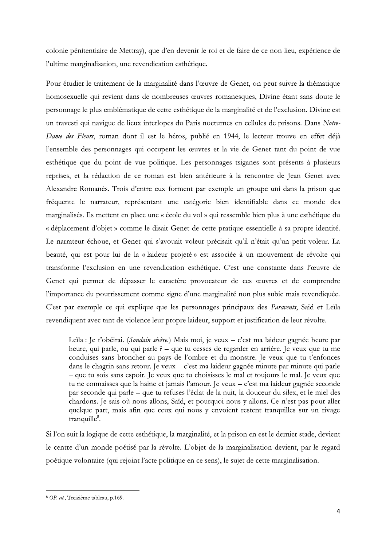colonie pénitentiaire de Mettray), que d'en devenir le roi et de faire de ce non lieu, expérience de l'ultime marginalisation, une revendication esthétique.

Pour étudier le traitement de la marginalité dans l'œuvre de Genet, on peut suivre la thématique homosexuelle qui revient dans de nombreuses œuvres romanesques, Divine étant sans doute le personnage le plus emblématique de cette esthétique de la marginalité et de l'exclusion. Divine est un travesti qui navigue de lieux interlopes du Paris nocturnes en cellules de prisons. Dans Notre-Dame des Fleurs, roman dont il est le héros, publié en 1944, le lecteur trouve en effet déjà l'ensemble des personnages qui occupent les œuvres et la vie de Genet tant du point de vue esthétique que du point de vue politique. Les personnages tsiganes sont présents à plusieurs reprises, et la rédaction de ce roman est bien antérieure à la rencontre de Jean Genet avec Alexandre Romanès. Trois d'entre eux forment par exemple un groupe uni dans la prison que fréquente le narrateur, représentant une catégorie bien identifiable dans ce monde des marginalisés. Ils mettent en place une « école du vol » qui ressemble bien plus à une esthétique du « déplacement d'objet » comme le disait Genet de cette pratique essentielle à sa propre identité. Le narrateur échoue, et Genet qui s'avouait voleur précisait qu'il n'était qu'un petit voleur. La beauté, qui est pour lui de la « laideur projeté » est associée à un mouvement de révolte qui transforme l'exclusion en une revendication esthétique. C'est une constante dans l'œuvre de Genet qui permet de dépasser le caractère provocateur de ces œuvres et de comprendre l'importance du pourrissement comme signe d'une marginalité non plus subie mais revendiquée. C'est par exemple ce qui explique que les personnages principaux des Paravents, Saïd et Leïla revendiquent avec tant de violence leur propre laideur, support et justification de leur révolte.

Leïla : Je t'obéirai. (Soudain sévère.) Mais moi, je veux – c'est ma laideur gagnée heure par heure, qui parle, ou qui parle ? - que tu cesses de regarder en arrière. Je veux que tu me conduises sans broncher au pays de l'ombre et du monstre. Je veux que tu t'enfonces dans le chagrin sans retour. Je veux – c'est ma laideur gagnée minute par minute qui parle - que tu sois sans espoir. Je veux que tu choisisses le mal et toujours le mal. Je veux que tu ne connaisses que la haine et jamais l'amour. Je veux – c'est ma laideur gagnée seconde par seconde qui parle - que tu refuses l'éclat de la nuit, la douceur du silex, et le miel des chardons. Je sais où nous allons, Saïd, et pourquoi nous y allons. Ce n'est pas pour aller quelque part, mais afin que ceux qui nous y envoient restent tranquilles sur un rivage tranquille<sup>8</sup>.

Si l'on suit la logique de cette esthétique, la marginalité, et la prison en est le dernier stade, devient le centre d'un monde poétisé par la révolte. L'objet de la marginalisation devient, par le regard poétique volontaire (qui rejoint l'acte politique en ce sens), le sujet de cette marginalisation.

<sup>&</sup>lt;sup>8</sup> OP. cit., Treizième tableau, p.169.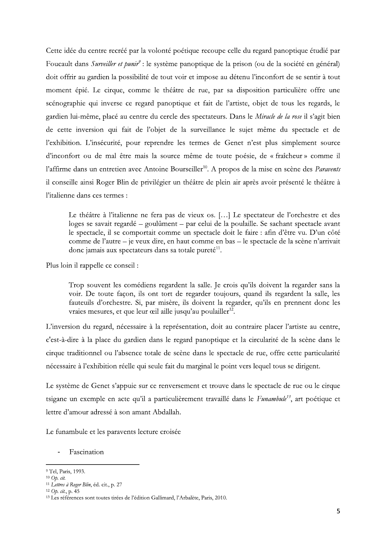Cette idée du centre recréé par la volonté poétique recoupe celle du regard panoptique étudié par Foucault dans Surveiller et punir<sup>9</sup> : le système panoptique de la prison (ou de la société en général) doit offrir au gardien la possibilité de tout voir et impose au détenu l'inconfort de se sentir à tout moment épié. Le cirque, comme le théâtre de rue, par sa disposition particulière offre une scénographie qui inverse ce regard panoptique et fait de l'artiste, objet de tous les regards, le gardien lui-même, placé au centre du cercle des spectateurs. Dans le Miracle de la rose il s'agit bien de cette inversion qui fait de l'objet de la surveillance le sujet même du spectacle et de l'exhibition. L'insécurité, pour reprendre les termes de Genet n'est plus simplement source d'inconfort ou de mal être mais la source même de toute poésie, de « fraîcheur » comme il l'affirme dans un entretien avec Antoine Bourseiller<sup>10</sup>. A propos de la mise en scène des Paravents il conseille ainsi Roger Blin de privilégier un théâtre de plein air après avoir présenté le théâtre à l'italienne dans ces termes :

Le théâtre à l'italienne ne fera pas de vieux os. [...] Le spectateur de l'orchestre et des loges se savait regardé – goulûment – par celui de la poulaille. Se sachant spectacle avant le spectacle, il se comportait comme un spectacle doit le faire : afin d'être vu. D'un côté comme de l'autre – je veux dire, en haut comme en bas – le spectacle de la scène n'arrivait donc jamais aux spectateurs dans sa totale pureté<sup>11</sup>.

Plus loin il rappelle ce conseil :

Trop souvent les comédiens regardent la salle. Je crois qu'ils doivent la regarder sans la voir. De toute façon, ils ont tort de regarder toujours, quand ils regardent la salle, les fauteuils d'orchestre. Si, par misère, ils doivent la regarder, qu'ils en prennent donc les vraies mesures, et que leur œil aille jusqu'au poulailler<sup>12</sup>.

L'inversion du regard, nécessaire à la représentation, doit au contraire placer l'artiste au centre, c'est-à-dire à la place du gardien dans le regard panoptique et la circularité de la scène dans le cirque traditionnel ou l'absence totale de scène dans le spectacle de rue, offre cette particularité nécessaire à l'exhibition réelle qui seule fait du marginal le point vers lequel tous se dirigent.

Le système de Genet s'appuie sur ce renversement et trouve dans le spectacle de rue ou le cirque tsigane un exemple en acte qu'il a particulièrement travaillé dans le Funambule<sup>13</sup>, art poétique et lettre d'amour adressé à son amant Abdallah.

Le funambule et les paravents lecture croisée

Fascination

<sup>&</sup>lt;sup>9</sup> Tel, Paris, 1993.

 $10$  Op. cit.

<sup>&</sup>lt;sup>11</sup> Lettres à Roger Blin, éd. cit., p. 27

 $12$  Op. cit., p. 45

<sup>&</sup>lt;sup>13</sup> Les références sont toutes tirées de l'édition Gallimard, l'Arbalète, Paris, 2010.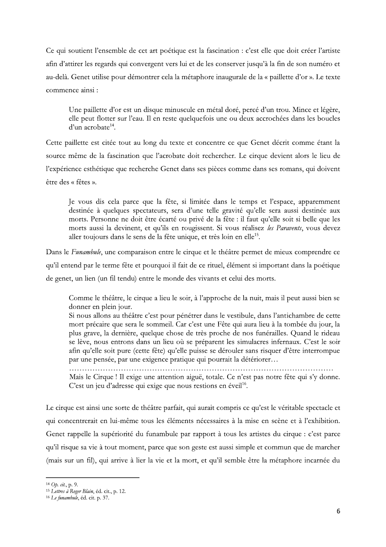Ce qui soutient l'ensemble de cet art poétique est la fascination : c'est elle que doit créer l'artiste afin d'attirer les regards qui convergent vers lui et de les conserver jusqu'à la fin de son numéro et au-delà. Genet utilise pour démontrer cela la métaphore inaugurale de la « paillette d'or ». Le texte commence ainsi:

Une paillette d'or est un disque minuscule en métal doré, percé d'un trou. Mince et légère, elle peut flotter sur l'eau. Il en reste quelquefois une ou deux accrochées dans les boucles d'un acrobate<sup>14</sup>.

Cette paillette est citée tout au long du texte et concentre ce que Genet décrit comme étant la source même de la fascination que l'acrobate doit rechercher. Le cirque devient alors le lieu de l'expérience esthétique que recherche Genet dans ses pièces comme dans ses romans, qui doivent être des « fêtes ».

Je vous dis cela parce que la fête, si limitée dans le temps et l'espace, apparemment destinée à quelques spectateurs, sera d'une telle gravité qu'elle sera aussi destinée aux morts. Personne ne doit être écarté ou privé de la fête : il faut qu'elle soit si belle que les morts aussi la devinent, et qu'ils en rougissent. Si vous réalisez les Paravents, vous devez aller toujours dans le sens de la fête unique, et très loin en elle<sup>15</sup>.

Dans le Funambule, une comparaison entre le cirque et le théâtre permet de mieux comprendre ce qu'il entend par le terme fête et pourquoi il fait de ce rituel, élément si important dans la poétique de genet, un lien (un fil tendu) entre le monde des vivants et celui des morts.

Comme le théâtre, le cirque a lieu le soir, à l'approche de la nuit, mais il peut aussi bien se donner en plein jour.

Si nous allons au théâtre c'est pour pénétrer dans le vestibule, dans l'antichambre de cette mort précaire que sera le sommeil. Car c'est une Fête qui aura lieu à la tombée du jour, la plus grave, la dernière, quelque chose de très proche de nos funérailles. Quand le rideau se lève, nous entrons dans un lieu où se préparent les simulacres infernaux. C'est le soir afin qu'elle soit pure (cette fête) qu'elle puisse se dérouler sans risquer d'être interrompue par une pensée, par une exigence pratique qui pourrait la détériorer...

Mais le Cirque ! Il exige une attention aiguë, totale. Ce n'est pas notre fête qui s'y donne. C'est un jeu d'adresse qui exige que nous restions en éveil<sup>16</sup>.

Le cirque est ainsi une sorte de théâtre parfait, qui aurait compris ce qu'est le véritable spectacle et qui concentrerait en lui-même tous les éléments nécessaires à la mise en scène et à l'exhibition. Genet rappelle la supériorité du funambule par rapport à tous les artistes du cirque : c'est parce qu'il risque sa vie à tout moment, parce que son geste est aussi simple et commun que de marcher (mais sur un fil), qui arrive à lier la vie et la mort, et qu'il semble être la métaphore incarnée du

 $14$  Op. cit., p. 9.

<sup>&</sup>lt;sup>15</sup> Lettres à Roger Blain, éd. cit., p. 12.

<sup>&</sup>lt;sup>16</sup> Le funambule, éd. cit. p. 37.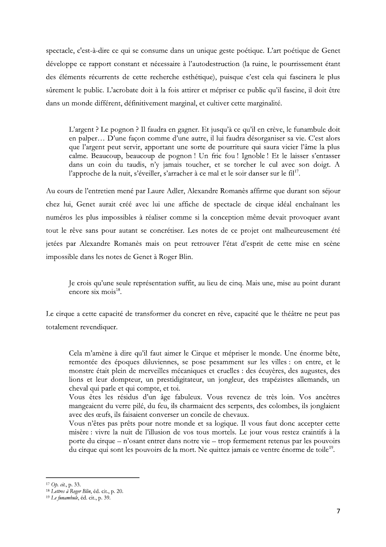spectacle, c'est-à-dire ce qui se consume dans un unique geste poétique. L'art poétique de Genet développe ce rapport constant et nécessaire à l'autodestruction (la ruine, le pourrissement étant des éléments récurrents de cette recherche esthétique), puisque c'est cela qui fascinera le plus sûrement le public. L'acrobate doit à la fois attirer et mépriser ce public qu'il fascine, il doit être dans un monde différent, définitivement marginal, et cultiver cette marginalité.

L'argent ? Le pognon ? Il faudra en gagner. Et jusqu'à ce qu'il en crève, le funambule doit en palper... D'une façon comme d'une autre, il lui faudra désorganiser sa vie. C'est alors que l'argent peut servir, apportant une sorte de pourriture qui saura vicier l'âme la plus calme. Beaucoup, beaucoup de pognon ! Un fric fou ! Ignoble ! Et le laisser s'entasser dans un coin du taudis, n'y jamais toucher, et se torcher le cul avec son doigt. A l'approche de la nuit, s'éveiller, s'arracher à ce mal et le soir danser sur le fil<sup>17</sup>.

Au cours de l'entretien mené par Laure Adler, Alexandre Romanès affirme que durant son séjour chez lui, Genet aurait créé avec lui une affiche de spectacle de cirque idéal enchaînant les numéros les plus impossibles à réaliser comme si la conception même devait provoquer avant tout le rêve sans pour autant se concrétiser. Les notes de ce projet ont malheureusement été jetées par Alexandre Romanès mais on peut retrouver l'état d'esprit de cette mise en scène impossible dans les notes de Genet à Roger Blin.

Je crois qu'une seule représentation suffit, au lieu de cinq. Mais une, mise au point durant encore six mois $^{18}$ .

Le cirque a cette capacité de transformer du concret en rêve, capacité que le théâtre ne peut pas totalement revendiquer.

Cela m'amène à dire qu'il faut aimer le Cirque et mépriser le monde. Une énorme bête, remontée des époques diluviennes, se pose pesamment sur les villes : on entre, et le monstre était plein de merveilles mécaniques et cruelles : des écuyères, des augustes, des lions et leur dompteur, un prestidigitateur, un jongleur, des trapézistes allemands, un cheval qui parle et qui compte, et toi.

Vous êtes les résidus d'un âge fabuleux. Vous revenez de très loin. Vos ancêtres mangeaient du verre pilé, du feu, ils charmaient des serpents, des colombes, ils jonglaient avec des œufs, ils faisaient converser un concile de chevaux.

Vous n'êtes pas prêts pour notre monde et sa logique. Il vous faut donc accepter cette misère : vivre la nuit de l'illusion de vos tous mortels. Le jour vous restez craintifs à la porte du cirque - n'osant entrer dans notre vie - trop fermement retenus par les pouvoirs du cirque qui sont les pouvoirs de la mort. Ne quittez jamais ce ventre énorme de toile<sup>19</sup>.

<sup>&</sup>lt;sup>17</sup> Op. cit., p. 33.

<sup>&</sup>lt;sup>18</sup> Lettres à Roger Blin, éd. cit., p. 20.

<sup>&</sup>lt;sup>19</sup> Le funambule, éd. cit., p. 39.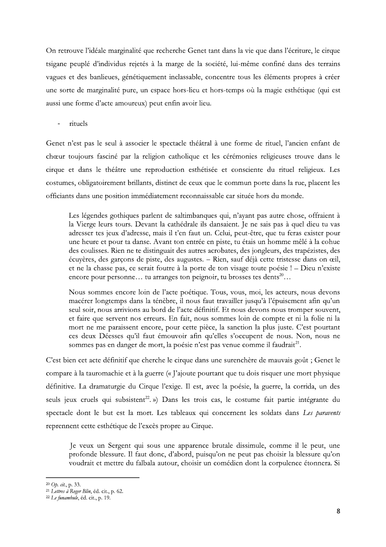On retrouve l'idéale marginalité que recherche Genet tant dans la vie que dans l'écriture, le cirque tsigane peuplé d'individus rejetés à la marge de la société, lui-même confiné dans des terrains vagues et des banlieues, génétiquement inclassable, concentre tous les éléments propres à créer une sorte de marginalité pure, un espace hors-lieu et hors-temps où la magie esthétique (qui est aussi une forme d'acte amoureux) peut enfin avoir lieu.

rituels  $\overline{a}$ 

Genet n'est pas le seul à associer le spectacle théâtral à une forme de rituel, l'ancien enfant de chœur toujours fasciné par la religion catholique et les cérémonies religieuses trouve dans le cirque et dans le théâtre une reproduction esthétisée et consciente du rituel religieux. Les costumes, obligatoirement brillants, distinct de ceux que le commun porte dans la rue, placent les officiants dans une position immédiatement reconnaissable car située hors du monde.

Les légendes gothiques parlent de saltimbanques qui, n'ayant pas autre chose, offraient à la Vierge leurs tours. Devant la cathédrale ils dansaient. Je ne sais pas à quel dieu tu vas adresser tes jeux d'adresse, mais il t'en faut un. Celui, peut-être, que tu feras exister pour une heure et pour ta danse. Avant ton entrée en piste, tu étais un homme mêlé à la cohue des coulisses. Rien ne te distinguait des autres acrobates, des jongleurs, des trapézistes, des écuyères, des garçons de piste, des augustes. – Rien, sauf déjà cette tristesse dans on œil, et ne la chasse pas, ce serait foutre à la porte de ton visage toute poésie ! - Dieu n'existe encore pour personne... tu arranges ton peignoir, tu brosses tes dents<sup>20</sup>...

Nous sommes encore loin de l'acte poétique. Tous, vous, moi, les acteurs, nous devons macérer longtemps dans la ténèbre, il nous faut travailler jusqu'à l'épuisement afin qu'un seul soir, nous arrivions au bord de l'acte définitif. Et nous devons nous tromper souvent, et faire que servent nos erreurs. En fait, nous sommes loin de compte et ni la folie ni la mort ne me paraissent encore, pour cette pièce, la sanction la plus juste. C'est pourtant ces deux Déesses qu'il faut émouvoir afin qu'elles s'occupent de nous. Non, nous ne sommes pas en danger de mort, la poésie n'est pas venue comme il faudrait<sup>21</sup>.

C'est bien cet acte définitif que cherche le cirque dans une surenchère de mauvais goût ; Genet le compare à la tauromachie et à la guerre (« J'ajoute pourtant que tu dois risquer une mort physique définitive. La dramaturgie du Cirque l'exige. Il est, avec la poésie, la guerre, la corrida, un des seuls jeux cruels qui subsistent<sup>22</sup>. ») Dans les trois cas, le costume fait partie intégrante du spectacle dont le but est la mort. Les tableaux qui concernent les soldats dans Les paravents reprennent cette esthétique de l'excès propre au Cirque.

Je veux un Sergent qui sous une apparence brutale dissimule, comme il le peut, une profonde blessure. Il faut donc, d'abord, puisqu'on ne peut pas choisir la blessure qu'on voudrait et mettre du falbala autour, choisir un comédien dont la corpulence étonnera. Si

<sup>&</sup>lt;sup>20</sup> Op. cit., p. 33.

<sup>&</sup>lt;sup>21</sup> Lettres à Roger Blin, éd. cit., p. 62.

<sup>&</sup>lt;sup>22</sup> Le funambule, éd. cit., p. 19.